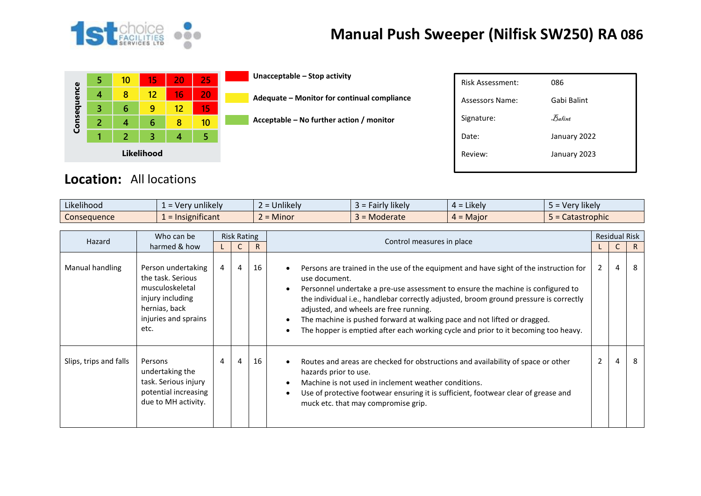

## **Manual Push Sweeper (Nilfisk SW250) RA 086**

|             | 5 | 10 | 15 | 20 | 25 |  |  |  |  |
|-------------|---|----|----|----|----|--|--|--|--|
|             | 4 | 8  | 12 | 16 | 20 |  |  |  |  |
|             | 3 | 6  | g  | 12 | 15 |  |  |  |  |
| Consequence | 2 | 4  | 6  | 8  | 10 |  |  |  |  |
|             |   | 2  | 3  | 4  | 5  |  |  |  |  |
| Likelihood  |   |    |    |    |    |  |  |  |  |

**Unacceptable – Stop activity**

**Acceptable – No further action / monitor**

**Adequate – Monitor for continual compliance**

| <b>Risk Assessment:</b> | 086          |
|-------------------------|--------------|
| Assessors Name:         | Gabi Balint  |
| Signature:              | Balint       |
| Date:                   | January 2022 |
| Review:                 | January 2023 |
|                         |              |

## **Location:** All locations

| Likelihood         | $\cdots$<br>sunlikelvi<br>very.         | Unlikely  | Fairly likely. | $\cdot$ $\cdot$ $\cdot$<br>$=$ Likely<br><del>…</del> - | $\cdots$<br>Very likely |
|--------------------|-----------------------------------------|-----------|----------------|---------------------------------------------------------|-------------------------|
| <b>Consequence</b> | $\cdot$ $\cdot$<br><b>Insignificant</b> | $=$ Minor | Moderate<br>-  | $\epsilon$ = Major<br>$4 =$                             | Catastrophic            |

| Hazard                 | Who can be                                                                                                                      | <b>Risk Rating</b> |   |    | Control measures in place                                                                                                                                                                                                                                                                                                                                                                                                                                                                      | <b>Residual Risk</b> |   |    |
|------------------------|---------------------------------------------------------------------------------------------------------------------------------|--------------------|---|----|------------------------------------------------------------------------------------------------------------------------------------------------------------------------------------------------------------------------------------------------------------------------------------------------------------------------------------------------------------------------------------------------------------------------------------------------------------------------------------------------|----------------------|---|----|
|                        | harmed & how                                                                                                                    |                    | C | R. |                                                                                                                                                                                                                                                                                                                                                                                                                                                                                                |                      | C | R. |
| Manual handling        | Person undertaking<br>the task. Serious<br>musculoskeletal<br>injury including<br>hernias, back<br>injuries and sprains<br>etc. | $\overline{4}$     | 4 | 16 | Persons are trained in the use of the equipment and have sight of the instruction for<br>use document.<br>Personnel undertake a pre-use assessment to ensure the machine is configured to<br>the individual i.e., handlebar correctly adjusted, broom ground pressure is correctly<br>adjusted, and wheels are free running.<br>The machine is pushed forward at walking pace and not lifted or dragged.<br>The hopper is emptied after each working cycle and prior to it becoming too heavy. | $\mathbf{2}$         | 4 | 8  |
| Slips, trips and falls | Persons<br>undertaking the<br>task. Serious injury<br>potential increasing<br>due to MH activity.                               | 4                  | 4 | 16 | Routes and areas are checked for obstructions and availability of space or other<br>hazards prior to use.<br>Machine is not used in inclement weather conditions.<br>Use of protective footwear ensuring it is sufficient, footwear clear of grease and<br>muck etc. that may compromise grip.                                                                                                                                                                                                 | $\overline{2}$       | 4 | 8  |